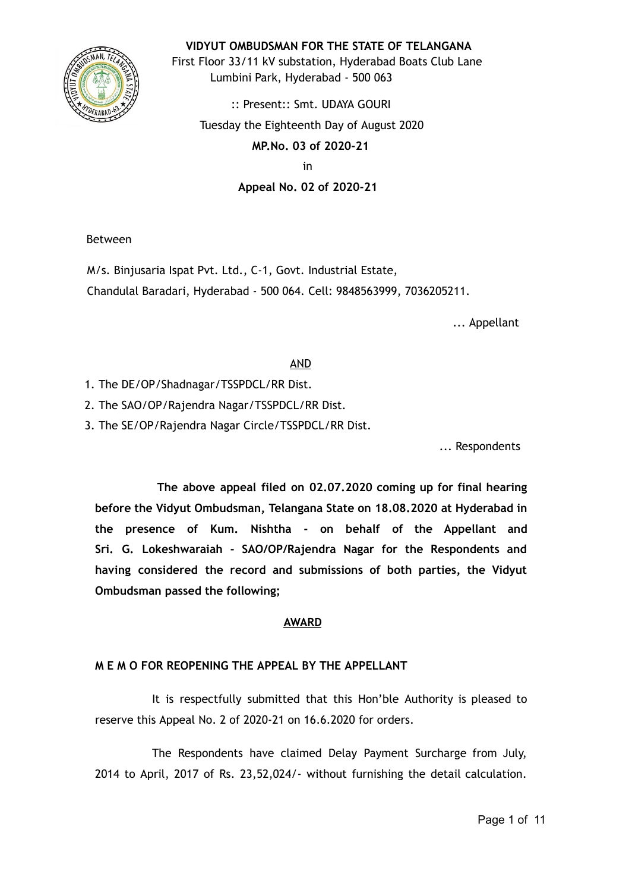

**VIDYUT OMBUDSMAN FOR THE STATE OF TELANGANA**

First Floor 33/11 kV substation, Hyderabad Boats Club Lane Lumbini Park, Hyderabad - 500 063

:: Present:: Smt. UDAYA GOURI Tuesday the Eighteenth Day of August 2020 **MP.No. 03 of 2020-21** 

in

**Appeal No. 02 of 2020-21** 

Between

M/s. Binjusaria Ispat Pvt. Ltd., C-1, Govt. Industrial Estate, Chandulal Baradari, Hyderabad - 500 064. Cell: 9848563999, 7036205211.

... Appellant

## AND

- 1. The DE/OP/Shadnagar/TSSPDCL/RR Dist.
- 2. The SAO/OP/Rajendra Nagar/TSSPDCL/RR Dist.
- 3. The SE/OP/Rajendra Nagar Circle/TSSPDCL/RR Dist.

... Respondents

**The above appeal filed on 02.07.2020 coming up for final hearing before the Vidyut Ombudsman, Telangana State on 18.08.2020 at Hyderabad in the presence of Kum. Nishtha - on behalf of the Appellant and Sri. G. Lokeshwaraiah - SAO/OP/Rajendra Nagar for the Respondents and having considered the record and submissions of both parties, the Vidyut Ombudsman passed the following;**

### **AWARD**

### **M E M O FOR REOPENING THE APPEAL BY THE APPELLANT**

It is respectfully submitted that this Hon'ble Authority is pleased to reserve this Appeal No. 2 of 2020-21 on 16.6.2020 for orders.

The Respondents have claimed Delay Payment Surcharge from July, 2014 to April, 2017 of Rs. 23,52,024/- without furnishing the detail calculation.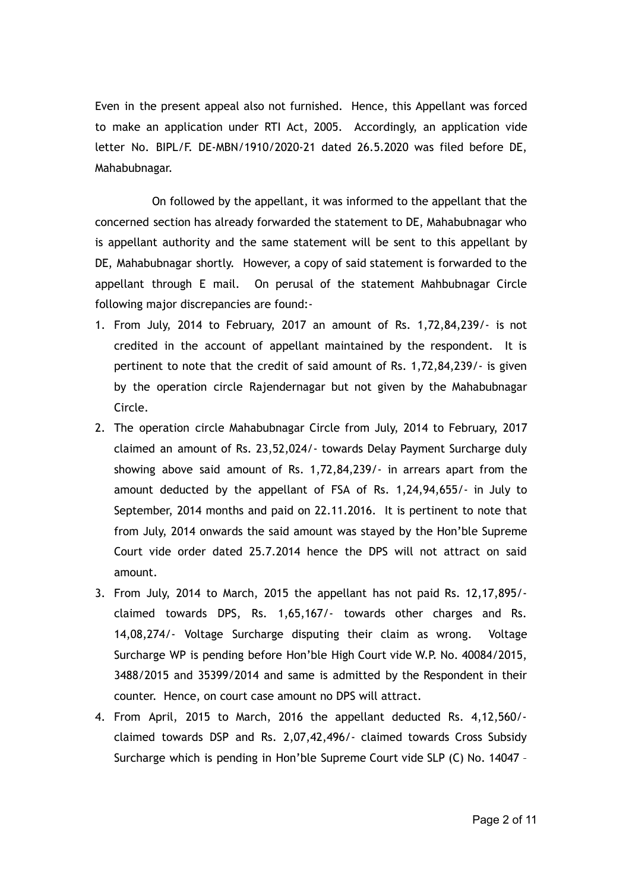Even in the present appeal also not furnished. Hence, this Appellant was forced to make an application under RTI Act, 2005. Accordingly, an application vide letter No. BIPL/F. DE-MBN/1910/2020-21 dated 26.5.2020 was filed before DE, Mahabubnagar.

On followed by the appellant, it was informed to the appellant that the concerned section has already forwarded the statement to DE, Mahabubnagar who is appellant authority and the same statement will be sent to this appellant by DE, Mahabubnagar shortly. However, a copy of said statement is forwarded to the appellant through E mail. On perusal of the statement Mahbubnagar Circle following major discrepancies are found:-

- 1. From July, 2014 to February, 2017 an amount of Rs. 1,72,84,239/- is not credited in the account of appellant maintained by the respondent. It is pertinent to note that the credit of said amount of Rs. 1,72,84,239/- is given by the operation circle Rajendernagar but not given by the Mahabubnagar Circle.
- 2. The operation circle Mahabubnagar Circle from July, 2014 to February, 2017 claimed an amount of Rs. 23,52,024/- towards Delay Payment Surcharge duly showing above said amount of Rs. 1,72,84,239/- in arrears apart from the amount deducted by the appellant of FSA of Rs. 1,24,94,655/- in July to September, 2014 months and paid on 22.11.2016. It is pertinent to note that from July, 2014 onwards the said amount was stayed by the Hon'ble Supreme Court vide order dated 25.7.2014 hence the DPS will not attract on said amount.
- 3. From July, 2014 to March, 2015 the appellant has not paid Rs. 12,17,895/ claimed towards DPS, Rs. 1,65,167/- towards other charges and Rs. 14,08,274/- Voltage Surcharge disputing their claim as wrong. Voltage Surcharge WP is pending before Hon'ble High Court vide W.P. No. 40084/2015, 3488/2015 and 35399/2014 and same is admitted by the Respondent in their counter. Hence, on court case amount no DPS will attract.
- 4. From April, 2015 to March, 2016 the appellant deducted Rs. 4,12,560/ claimed towards DSP and Rs. 2,07,42,496/- claimed towards Cross Subsidy Surcharge which is pending in Hon'ble Supreme Court vide SLP (C) No. 14047 –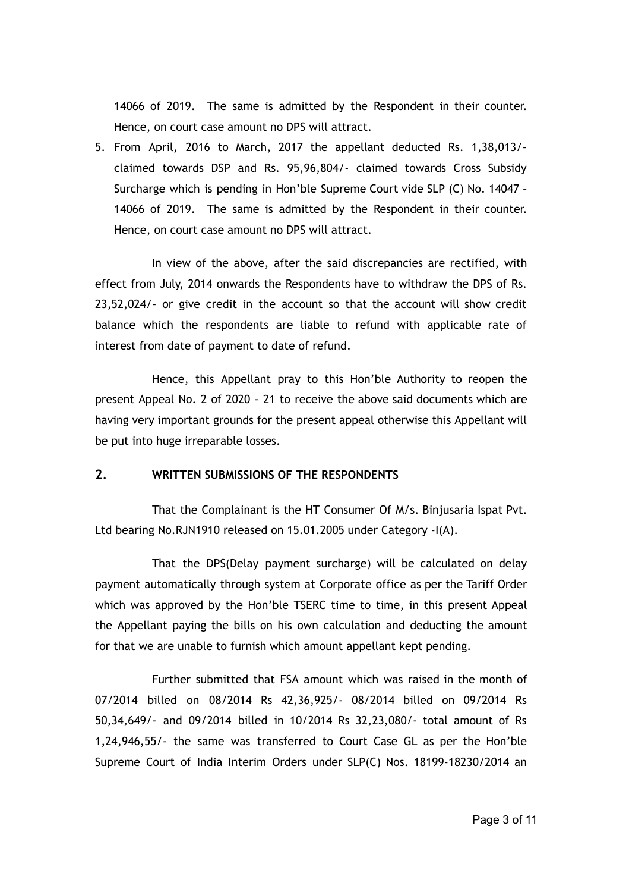14066 of 2019. The same is admitted by the Respondent in their counter. Hence, on court case amount no DPS will attract.

5. From April, 2016 to March, 2017 the appellant deducted Rs. 1,38,013/ claimed towards DSP and Rs. 95,96,804/- claimed towards Cross Subsidy Surcharge which is pending in Hon'ble Supreme Court vide SLP (C) No. 14047 – 14066 of 2019. The same is admitted by the Respondent in their counter. Hence, on court case amount no DPS will attract.

In view of the above, after the said discrepancies are rectified, with effect from July, 2014 onwards the Respondents have to withdraw the DPS of Rs. 23,52,024/- or give credit in the account so that the account will show credit balance which the respondents are liable to refund with applicable rate of interest from date of payment to date of refund.

Hence, this Appellant pray to this Hon'ble Authority to reopen the present Appeal No. 2 of 2020 - 21 to receive the above said documents which are having very important grounds for the present appeal otherwise this Appellant will be put into huge irreparable losses.

### **2. WRITTEN SUBMISSIONS OF THE RESPONDENTS**

That the Complainant is the HT Consumer Of M/s. Binjusaria Ispat Pvt. Ltd bearing No.RJN1910 released on 15.01.2005 under Category -I(A).

That the DPS(Delay payment surcharge) will be calculated on delay payment automatically through system at Corporate office as per the Tariff Order which was approved by the Hon'ble TSERC time to time, in this present Appeal the Appellant paying the bills on his own calculation and deducting the amount for that we are unable to furnish which amount appellant kept pending.

Further submitted that FSA amount which was raised in the month of 07/2014 billed on 08/2014 Rs 42,36,925/- 08/2014 billed on 09/2014 Rs 50,34,649/- and 09/2014 billed in 10/2014 Rs 32,23,080/- total amount of Rs 1,24,946,55/- the same was transferred to Court Case GL as per the Hon'ble Supreme Court of India Interim Orders under SLP(C) Nos. 18199-18230/2014 an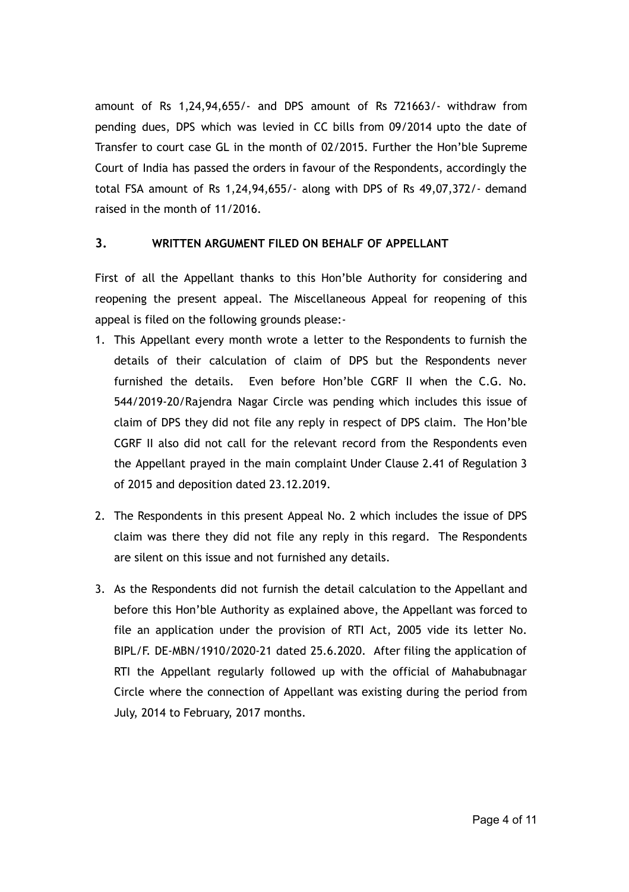amount of Rs 1,24,94,655/- and DPS amount of Rs 721663/- withdraw from pending dues, DPS which was levied in CC bills from 09/2014 upto the date of Transfer to court case GL in the month of 02/2015. Further the Hon'ble Supreme Court of India has passed the orders in favour of the Respondents, accordingly the total FSA amount of Rs 1,24,94,655/- along with DPS of Rs 49,07,372/- demand raised in the month of 11/2016.

### **3. WRITTEN ARGUMENT FILED ON BEHALF OF APPELLANT**

First of all the Appellant thanks to this Hon'ble Authority for considering and reopening the present appeal. The Miscellaneous Appeal for reopening of this appeal is filed on the following grounds please:-

- 1. This Appellant every month wrote a letter to the Respondents to furnish the details of their calculation of claim of DPS but the Respondents never furnished the details. Even before Hon'ble CGRF II when the C.G. No. 544/2019-20/Rajendra Nagar Circle was pending which includes this issue of claim of DPS they did not file any reply in respect of DPS claim. The Hon'ble CGRF II also did not call for the relevant record from the Respondents even the Appellant prayed in the main complaint Under Clause 2.41 of Regulation 3 of 2015 and deposition dated 23.12.2019.
- 2. The Respondents in this present Appeal No. 2 which includes the issue of DPS claim was there they did not file any reply in this regard. The Respondents are silent on this issue and not furnished any details.
- 3. As the Respondents did not furnish the detail calculation to the Appellant and before this Hon'ble Authority as explained above, the Appellant was forced to file an application under the provision of RTI Act, 2005 vide its letter No. BIPL/F. DE-MBN/1910/2020-21 dated 25.6.2020. After filing the application of RTI the Appellant regularly followed up with the official of Mahabubnagar Circle where the connection of Appellant was existing during the period from July, 2014 to February, 2017 months.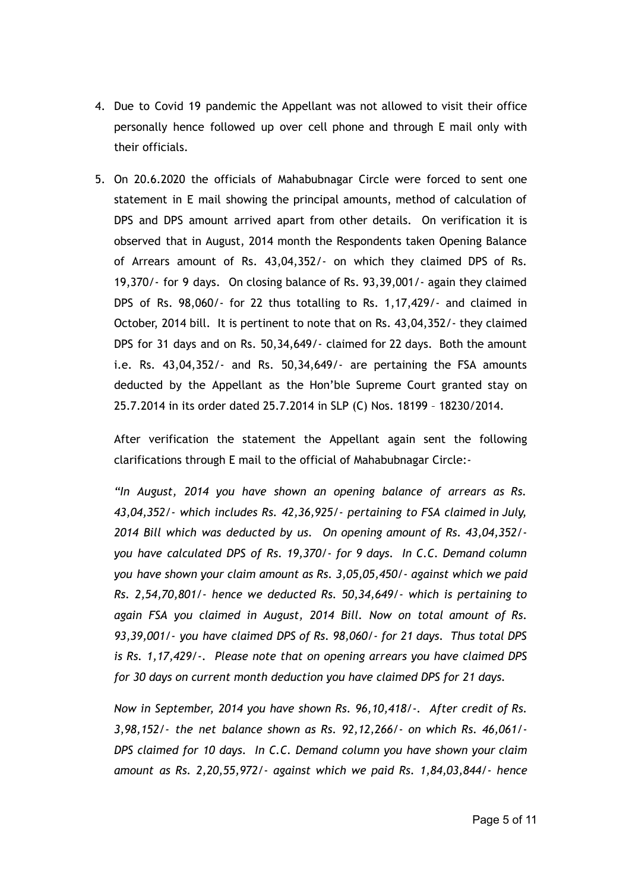- 4. Due to Covid 19 pandemic the Appellant was not allowed to visit their office personally hence followed up over cell phone and through E mail only with their officials.
- 5. On 20.6.2020 the officials of Mahabubnagar Circle were forced to sent one statement in E mail showing the principal amounts, method of calculation of DPS and DPS amount arrived apart from other details. On verification it is observed that in August, 2014 month the Respondents taken Opening Balance of Arrears amount of Rs. 43,04,352/- on which they claimed DPS of Rs. 19,370/- for 9 days. On closing balance of Rs. 93,39,001/- again they claimed DPS of Rs. 98,060/- for 22 thus totalling to Rs. 1,17,429/- and claimed in October, 2014 bill. It is pertinent to note that on Rs. 43,04,352/- they claimed DPS for 31 days and on Rs. 50,34,649/- claimed for 22 days. Both the amount i.e. Rs. 43,04,352/- and Rs. 50,34,649/- are pertaining the FSA amounts deducted by the Appellant as the Hon'ble Supreme Court granted stay on 25.7.2014 in its order dated 25.7.2014 in SLP (C) Nos. 18199 – 18230/2014.

After verification the statement the Appellant again sent the following clarifications through E mail to the official of Mahabubnagar Circle:-

*"In August, 2014 you have shown an opening balance of arrears as Rs. 43,04,352/- which includes Rs. 42,36,925/- pertaining to FSA claimed in July, 2014 Bill which was deducted by us. On opening amount of Rs. 43,04,352/ you have calculated DPS of Rs. 19,370/- for 9 days. In C.C. Demand column you have shown your claim amount as Rs. 3,05,05,450/- against which we paid Rs. 2,54,70,801/- hence we deducted Rs. 50,34,649/- which is pertaining to again FSA you claimed in August, 2014 Bill. Now on total amount of Rs. 93,39,001/- you have claimed DPS of Rs. 98,060/- for 21 days. Thus total DPS is Rs. 1,17,429/-. Please note that on opening arrears you have claimed DPS for 30 days on current month deduction you have claimed DPS for 21 days.*

*Now in September, 2014 you have shown Rs. 96,10,418/-. After credit of Rs. 3,98,152/- the net balance shown as Rs. 92,12,266/- on which Rs. 46,061/- DPS claimed for 10 days. In C.C. Demand column you have shown your claim amount as Rs. 2,20,55,972/- against which we paid Rs. 1,84,03,844/- hence*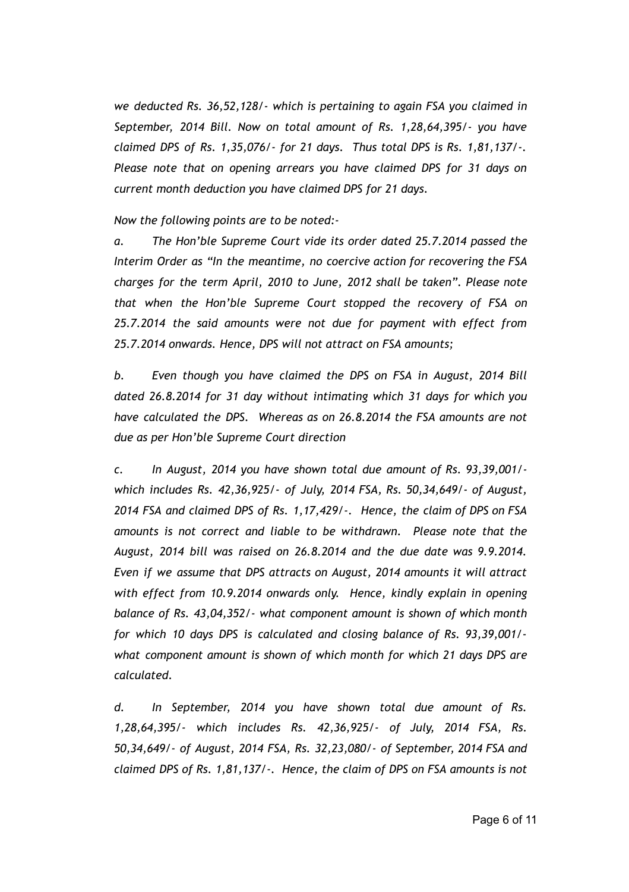*we deducted Rs. 36,52,128/- which is pertaining to again FSA you claimed in September, 2014 Bill. Now on total amount of Rs. 1,28,64,395/- you have claimed DPS of Rs. 1,35,076/- for 21 days. Thus total DPS is Rs. 1,81,137/-. Please note that on opening arrears you have claimed DPS for 31 days on current month deduction you have claimed DPS for 21 days.*

*Now the following points are to be noted:-*

*a. The Hon'ble Supreme Court vide its order dated 25.7.2014 passed the Interim Order as "In the meantime, no coercive action for recovering the FSA charges for the term April, 2010 to June, 2012 shall be taken". Please note that when the Hon'ble Supreme Court stopped the recovery of FSA on 25.7.2014 the said amounts were not due for payment with effect from 25.7.2014 onwards. Hence, DPS will not attract on FSA amounts;*

*b. Even though you have claimed the DPS on FSA in August, 2014 Bill dated 26.8.2014 for 31 day without intimating which 31 days for which you have calculated the DPS. Whereas as on 26.8.2014 the FSA amounts are not due as per Hon'ble Supreme Court direction*

*c. In August, 2014 you have shown total due amount of Rs. 93,39,001/ which includes Rs. 42,36,925/- of July, 2014 FSA, Rs. 50,34,649/- of August, 2014 FSA and claimed DPS of Rs. 1,17,429/-. Hence, the claim of DPS on FSA amounts is not correct and liable to be withdrawn. Please note that the August, 2014 bill was raised on 26.8.2014 and the due date was 9.9.2014. Even if we assume that DPS attracts on August, 2014 amounts it will attract with effect from 10.9.2014 onwards only. Hence, kindly explain in opening balance of Rs. 43,04,352/- what component amount is shown of which month for which 10 days DPS is calculated and closing balance of Rs. 93,39,001/ what component amount is shown of which month for which 21 days DPS are calculated.*

*d. In September, 2014 you have shown total due amount of Rs. 1,28,64,395/- which includes Rs. 42,36,925/- of July, 2014 FSA, Rs. 50,34,649/- of August, 2014 FSA, Rs. 32,23,080/- of September, 2014 FSA and claimed DPS of Rs. 1,81,137/-. Hence, the claim of DPS on FSA amounts is not*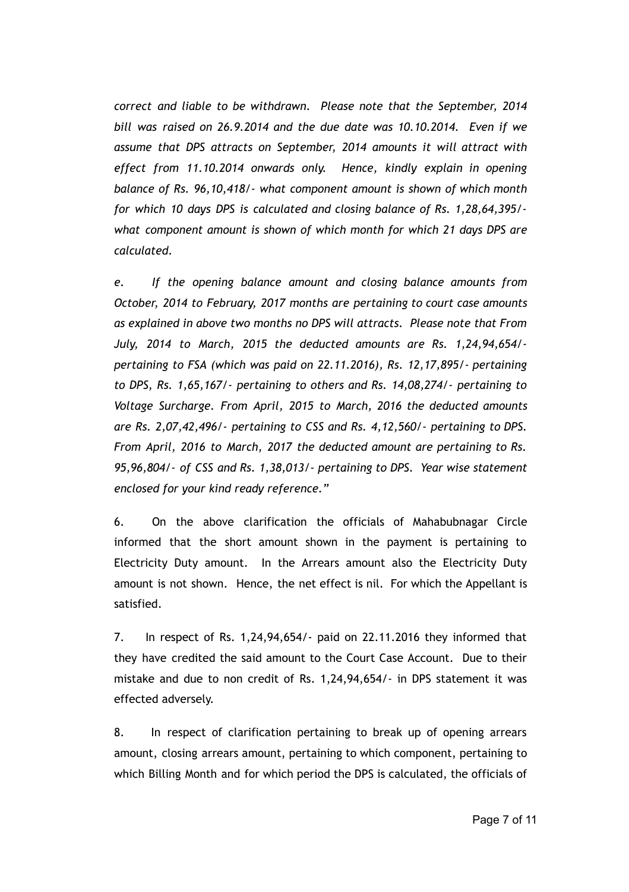*correct and liable to be withdrawn. Please note that the September, 2014 bill was raised on 26.9.2014 and the due date was 10.10.2014. Even if we assume that DPS attracts on September, 2014 amounts it will attract with effect from 11.10.2014 onwards only. Hence, kindly explain in opening balance of Rs. 96,10,418/- what component amount is shown of which month for which 10 days DPS is calculated and closing balance of Rs. 1,28,64,395/ what component amount is shown of which month for which 21 days DPS are calculated.*

*e. If the opening balance amount and closing balance amounts from October, 2014 to February, 2017 months are pertaining to court case amounts as explained in above two months no DPS will attracts. Please note that From July, 2014 to March, 2015 the deducted amounts are Rs. 1,24,94,654/ pertaining to FSA (which was paid on 22.11.2016), Rs. 12,17,895/- pertaining to DPS, Rs. 1,65,167/- pertaining to others and Rs. 14,08,274/- pertaining to Voltage Surcharge. From April, 2015 to March, 2016 the deducted amounts are Rs. 2,07,42,496/- pertaining to CSS and Rs. 4,12,560/- pertaining to DPS. From April, 2016 to March, 2017 the deducted amount are pertaining to Rs. 95,96,804/- of CSS and Rs. 1,38,013/- pertaining to DPS. Year wise statement enclosed for your kind ready reference."*

6. On the above clarification the officials of Mahabubnagar Circle informed that the short amount shown in the payment is pertaining to Electricity Duty amount. In the Arrears amount also the Electricity Duty amount is not shown. Hence, the net effect is nil. For which the Appellant is satisfied.

7. In respect of Rs. 1,24,94,654/- paid on 22.11.2016 they informed that they have credited the said amount to the Court Case Account. Due to their mistake and due to non credit of Rs. 1,24,94,654/- in DPS statement it was effected adversely.

8. In respect of clarification pertaining to break up of opening arrears amount, closing arrears amount, pertaining to which component, pertaining to which Billing Month and for which period the DPS is calculated, the officials of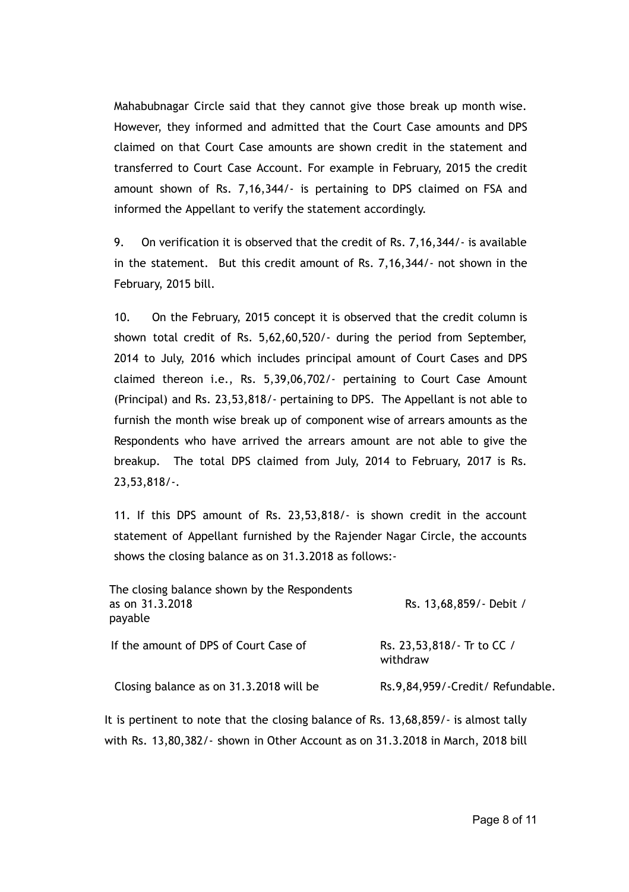Mahabubnagar Circle said that they cannot give those break up month wise. However, they informed and admitted that the Court Case amounts and DPS claimed on that Court Case amounts are shown credit in the statement and transferred to Court Case Account. For example in February, 2015 the credit amount shown of Rs. 7,16,344/- is pertaining to DPS claimed on FSA and informed the Appellant to verify the statement accordingly.

9. On verification it is observed that the credit of Rs. 7,16,344/- is available in the statement. But this credit amount of Rs. 7,16,344/- not shown in the February, 2015 bill.

10. On the February, 2015 concept it is observed that the credit column is shown total credit of Rs. 5,62,60,520/- during the period from September, 2014 to July, 2016 which includes principal amount of Court Cases and DPS claimed thereon i.e., Rs. 5,39,06,702/- pertaining to Court Case Amount (Principal) and Rs. 23,53,818/- pertaining to DPS. The Appellant is not able to furnish the month wise break up of component wise of arrears amounts as the Respondents who have arrived the arrears amount are not able to give the breakup. The total DPS claimed from July, 2014 to February, 2017 is Rs. 23,53,818/-.

11. If this DPS amount of Rs. 23,53,818/- is shown credit in the account statement of Appellant furnished by the Rajender Nagar Circle, the accounts shows the closing balance as on 31.3.2018 as follows:-

| Rs. 13,68,859/- Debit /                |
|----------------------------------------|
| Rs. 23,53,818/- Tr to CC /<br>withdraw |
| Rs.9,84,959/-Credit/Refundable.        |
|                                        |

It is pertinent to note that the closing balance of Rs. 13,68,859/- is almost tally with Rs. 13,80,382/- shown in Other Account as on 31.3.2018 in March, 2018 bill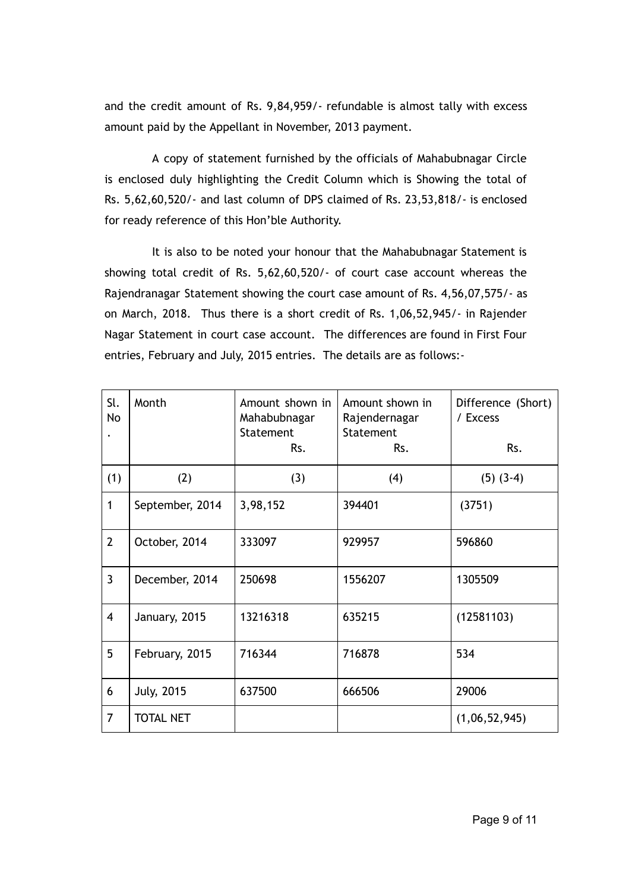and the credit amount of Rs. 9,84,959/- refundable is almost tally with excess amount paid by the Appellant in November, 2013 payment.

A copy of statement furnished by the officials of Mahabubnagar Circle is enclosed duly highlighting the Credit Column which is Showing the total of Rs. 5,62,60,520/- and last column of DPS claimed of Rs. 23,53,818/- is enclosed for ready reference of this Hon'ble Authority.

It is also to be noted your honour that the Mahabubnagar Statement is showing total credit of Rs. 5,62,60,520/- of court case account whereas the Rajendranagar Statement showing the court case amount of Rs. 4,56,07,575/- as on March, 2018. Thus there is a short credit of Rs. 1,06,52,945/- in Rajender Nagar Statement in court case account. The differences are found in First Four entries, February and July, 2015 entries. The details are as follows:-

| Sl.<br>No      | Month             | Amount shown in<br>Mahabubnagar<br>Statement<br>Rs. | Amount shown in<br>Rajendernagar<br>Statement<br>Rs. | Difference (Short)<br>/ Excess<br>Rs. |
|----------------|-------------------|-----------------------------------------------------|------------------------------------------------------|---------------------------------------|
| (1)            | (2)               | (3)                                                 | (4)                                                  | $(5)$ $(3-4)$                         |
| 1              | September, 2014   | 3,98,152                                            | 394401                                               | (3751)                                |
| $\overline{2}$ | October, 2014     | 333097                                              | 929957                                               | 596860                                |
| $\overline{3}$ | December, 2014    | 250698                                              | 1556207                                              | 1305509                               |
| $\overline{4}$ | January, 2015     | 13216318                                            | 635215                                               | (12581103)                            |
| 5              | February, 2015    | 716344                                              | 716878                                               | 534                                   |
| 6              | <b>July, 2015</b> | 637500                                              | 666506                                               | 29006                                 |
| $\overline{7}$ | <b>TOTAL NET</b>  |                                                     |                                                      | (1,06,52,945)                         |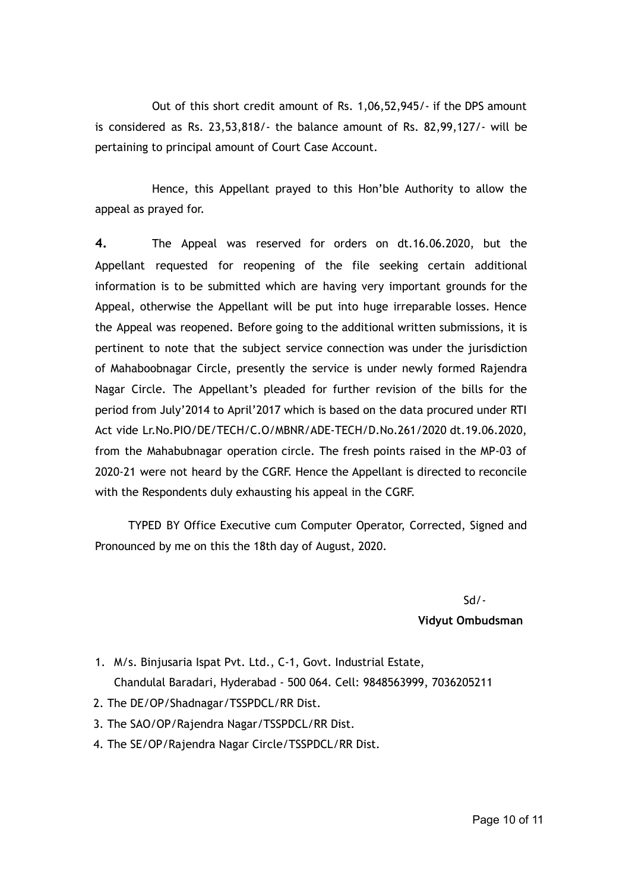Out of this short credit amount of Rs. 1,06,52,945/- if the DPS amount is considered as Rs. 23,53,818/- the balance amount of Rs. 82,99,127/- will be pertaining to principal amount of Court Case Account.

Hence, this Appellant prayed to this Hon'ble Authority to allow the appeal as prayed for.

**4.** The Appeal was reserved for orders on dt.16.06.2020, but the Appellant requested for reopening of the file seeking certain additional information is to be submitted which are having very important grounds for the Appeal, otherwise the Appellant will be put into huge irreparable losses. Hence the Appeal was reopened. Before going to the additional written submissions, it is pertinent to note that the subject service connection was under the jurisdiction of Mahaboobnagar Circle, presently the service is under newly formed Rajendra Nagar Circle. The Appellant's pleaded for further revision of the bills for the period from July'2014 to April'2017 which is based on the data procured under RTI Act vide Lr.No.PIO/DE/TECH/C.O/MBNR/ADE-TECH/D.No.261/2020 dt.19.06.2020, from the Mahabubnagar operation circle. The fresh points raised in the MP-03 of 2020-21 were not heard by the CGRF. Hence the Appellant is directed to reconcile with the Respondents duly exhausting his appeal in the CGRF.

TYPED BY Office Executive cum Computer Operator, Corrected, Signed and Pronounced by me on this the 18th day of August, 2020.

Sd/-

#### **Vidyut Ombudsman**

- 1. M/s. Binjusaria Ispat Pvt. Ltd., C-1, Govt. Industrial Estate, Chandulal Baradari, Hyderabad - 500 064. Cell: 9848563999, 7036205211
- 2. The DE/OP/Shadnagar/TSSPDCL/RR Dist.
- 3. The SAO/OP/Rajendra Nagar/TSSPDCL/RR Dist.
- 4. The SE/OP/Rajendra Nagar Circle/TSSPDCL/RR Dist.